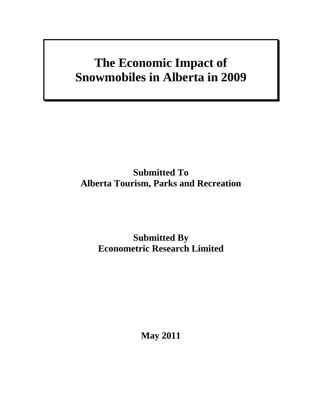# **The Economic Impact of Snowmobiles in Alberta in 2009**

# **Submitted To Alberta Tourism, Parks and Recreation**

# **Submitted By Econometric Research Limited**

**May 2011**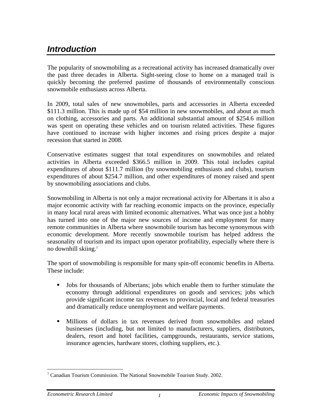### *Introduction*

The popularity of snowmobiling as a recreational activity has increased dramatically over the past three decades in Alberta. Sight-seeing close to home on a managed trail is quickly becoming the preferred pastime of thousands of environmentally conscious snowmobile enthusiasts across Alberta.

In 2009, total sales of new snowmobiles, parts and accessories in Alberta exceeded \$111.3 million. This is made up of \$54 million in new snowmobiles, and about as much on clothing, accessories and parts. An additional substantial amount of \$254.6 million was spent on operating these vehicles and on tourism related activities. These figures have continued to increase with higher incomes and rising prices despite a major recession that started in 2008.

Conservative estimates suggest that total expenditures on snowmobiles and related activities in Alberta exceeded \$366.5 million in 2009. This total includes capital expenditures of about \$111.7 million (by snowmobiling enthusiasts and clubs), tourism expenditures of about \$254.7 million, and other expenditures of money raised and spent by snowmobiling associations and clubs.

Snowmobiling in Alberta is not only a major recreational activity for Albertans it is also a major economic activity with far reaching economic impacts on the province, especially in many local rural areas with limited economic alternatives. What was once just a hobby has turned into one of the major new sources of income and employment for many remote communities in Alberta where snowmobile tourism has become synonymous with economic development. More recently snowmobile tourism has helped address the seasonality of tourism and its impact upon operator profitability, especially where there is no downhill skiing. $<sup>1</sup>$ </sup>

The sport of snowmobiling is responsible for many spin-off economic benefits in Alberta. These include:

- Jobs for thousands of Albertans; jobs which enable them to further stimulate the economy through additional expenditures on goods and services; jobs which provide significant income tax revenues to provincial, local and federal treasuries and dramatically reduce unemployment and welfare payments.
- Millions of dollars in tax revenues derived from snowmobiles and related businesses (including, but not limited to manufacturers, suppliers, distributors, dealers, resort and hotel facilities, campgrounds, restaurants, service stations, insurance agencies, hardware stores, clothing suppliers, etc.).

 $\overline{a}$ <sup>1</sup> Canadian Tourism Commission. The National Snowmobile Tourism Study. 2002.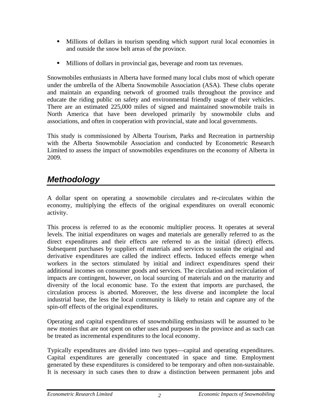- Millions of dollars in tourism spending which support rural local economies in and outside the snow belt areas of the province.
- Millions of dollars in provincial gas, beverage and room tax revenues.

Snowmobiles enthusiasts in Alberta have formed many local clubs most of which operate under the umbrella of the Alberta Snowmobile Association (ASA). These clubs operate and maintain an expanding network of groomed trails throughout the province and educate the riding public on safety and environmental friendly usage of their vehicles. There are an estimated 225,000 miles of signed and maintained snowmobile trails in North America that have been developed primarily by snowmobile clubs and associations, and often in cooperation with provincial, state and local governments.

This study is commissioned by Alberta Tourism, Parks and Recreation in partnership with the Alberta Snowmobile Association and conducted by Econometric Research Limited to assess the impact of snowmobiles expenditures on the economy of Alberta in 2009.

# *Methodology*

A dollar spent on operating a snowmobile circulates and re-circulates within the economy, multiplying the effects of the original expenditures on overall economic activity.

This process is referred to as the economic multiplier process. It operates at several levels. The initial expenditures on wages and materials are generally referred to as the direct expenditures and their effects are referred to as the initial (direct) effects. Subsequent purchases by suppliers of materials and services to sustain the original and derivative expenditures are called the indirect effects. Induced effects emerge when workers in the sectors stimulated by initial and indirect expenditures spend their additional incomes on consumer goods and services. The circulation and recirculation of impacts are contingent, however, on local sourcing of materials and on the maturity and diversity of the local economic base. To the extent that imports are purchased, the circulation process is aborted. Moreover, the less diverse and incomplete the local industrial base, the less the local community is likely to retain and capture any of the spin-off effects of the original expenditures.

Operating and capital expenditures of snowmobiling enthusiasts will be assumed to be new monies that are not spent on other uses and purposes in the province and as such can be treated as incremental expenditures to the local economy.

Typically expenditures are divided into two types—capital and operating expenditures. Capital expenditures are generally concentrated in space and time. Employment generated by these expenditures is considered to be temporary and often non-sustainable. It is necessary in such cases then to draw a distinction between permanent jobs and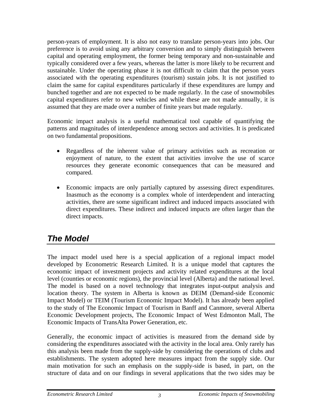person-years of employment. It is also not easy to translate person-years into jobs. Our preference is to avoid using any arbitrary conversion and to simply distinguish between capital and operating employment, the former being temporary and non-sustainable and typically considered over a few years, whereas the latter is more likely to be recurrent and sustainable. Under the operating phase it is not difficult to claim that the person years associated with the operating expenditures (tourism) sustain jobs. It is not justified to claim the same for capital expenditures particularly if these expenditures are lumpy and bunched together and are not expected to be made regularly. In the case of snowmobiles capital expenditures refer to new vehicles and while these are not made annually, it is assumed that they are made over a number of finite years but made regularly.

Economic impact analysis is a useful mathematical tool capable of quantifying the patterns and magnitudes of interdependence among sectors and activities. It is predicated on two fundamental propositions.

- Regardless of the inherent value of primary activities such as recreation or enjoyment of nature, to the extent that activities involve the use of scarce resources they generate economic consequences that can be measured and compared.
- Economic impacts are only partially captured by assessing direct expenditures. Inasmuch as the economy is a complex whole of interdependent and interacting activities, there are some significant indirect and induced impacts associated with direct expenditures. These indirect and induced impacts are often larger than the direct impacts.

# *The Model*

The impact model used here is a special application of a regional impact model developed by Econometric Research Limited. It is a unique model that captures the economic impact of investment projects and activity related expenditures at the local level (counties or economic regions), the provincial level (Alberta) and the national level. The model is based on a novel technology that integrates input-output analysis and location theory. The system in Alberta is known as DEIM (Demand-side Economic Impact Model) or TEIM (Tourism Economic Impact Model). It has already been applied to the study of The Economic Impact of Tourism in Banff and Canmore, several Alberta Economic Development projects, The Economic Impact of West Edmonton Mall, The Economic Impacts of TransAlta Power Generation, etc.

Generally, the economic impact of activities is measured from the demand side by considering the expenditures associated with the activity in the local area. Only rarely has this analysis been made from the supply-side by considering the operations of clubs and establishments. The system adopted here measures impact from the supply side. Our main motivation for such an emphasis on the supply-side is based, in part, on the structure of data and on our findings in several applications that the two sides may be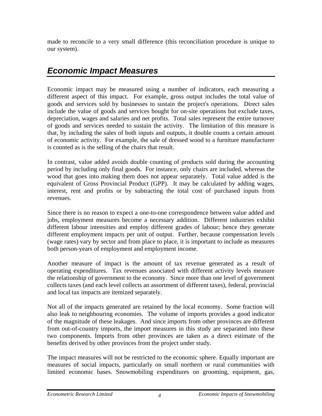made to reconcile to a very small difference (this reconciliation procedure is unique to our system).

### *Economic Impact Measures*

Economic impact may be measured using a number of indicators, each measuring a different aspect of this impact. For example, gross output includes the total value of goods and services sold by businesses to sustain the project's operations. Direct sales include the value of goods and services bought for on-site operations but exclude taxes, depreciation, wages and salaries and net profits. Total sales represent the entire turnover of goods and services needed to sustain the activity. The limitation of this measure is that, by including the sales of both inputs and outputs, it double counts a certain amount of economic activity. For example, the sale of dressed wood to a furniture manufacturer is counted as is the selling of the chairs that result.

In contrast, value added avoids double counting of products sold during the accounting period by including only final goods. For instance, only chairs are included, whereas the wood that goes into making them does not appear separately. Total value added is the equivalent of Gross Provincial Product (GPP). It may be calculated by adding wages, interest, rent and profits or by subtracting the total cost of purchased inputs from revenues.

Since there is no reason to expect a one-to-one correspondence between value added and jobs, employment measures become a necessary addition. Different industries exhibit different labour intensities and employ different grades of labour; hence they generate different employment impacts per unit of output. Further, because compensation levels (wage rates) vary by sector and from place to place, it is important to include as measures both person-years of employment and employment income.

Another measure of impact is the amount of tax revenue generated as a result of operating expenditures. Tax revenues associated with different activity levels measure the relationship of government to the economy. Since more than one level of government collects taxes (and each level collects an assortment of different taxes), federal, provincial and local tax impacts are itemized separately.

Not all of the impacts generated are retained by the local economy. Some fraction will also leak to neighbouring economies. The volume of imports provides a good indicator of the magnitude of these leakages. And since imports from other provinces are different from out-of-country imports, the import measures in this study are separated into these two components. Imports from other provinces are taken as a direct estimate of the benefits derived by other provinces from the project under study.

The impact measures will not be restricted to the economic sphere. Equally important are measures of social impacts, particularly on small northern or rural communities with limited economic bases. Snowmobiling expenditures on grooming, equipment, gas,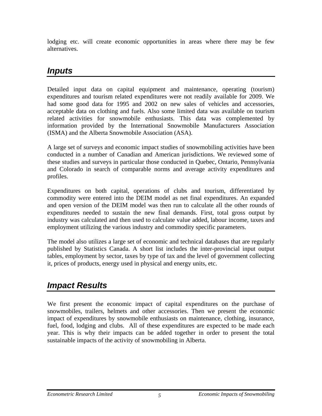lodging etc. will create economic opportunities in areas where there may be few alternatives.

# *Inputs*

Detailed input data on capital equipment and maintenance, operating (tourism) expenditures and tourism related expenditures were not readily available for 2009. We had some good data for 1995 and 2002 on new sales of vehicles and accessories, acceptable data on clothing and fuels. Also some limited data was available on tourism related activities for snowmobile enthusiasts. This data was complemented by information provided by the International Snowmobile Manufacturers Association (ISMA) and the Alberta Snowmobile Association (ASA).

A large set of surveys and economic impact studies of snowmobiling activities have been conducted in a number of Canadian and American jurisdictions. We reviewed some of these studies and surveys in particular those conducted in Quebec, Ontario, Pennsylvania and Colorado in search of comparable norms and average activity expenditures and profiles.

Expenditures on both capital, operations of clubs and tourism, differentiated by commodity were entered into the DEIM model as net final expenditures. An expanded and open version of the DEIM model was then run to calculate all the other rounds of expenditures needed to sustain the new final demands. First, total gross output by industry was calculated and then used to calculate value added, labour income, taxes and employment utilizing the various industry and commodity specific parameters.

The model also utilizes a large set of economic and technical databases that are regularly published by Statistics Canada. A short list includes the inter-provincial input output tables, employment by sector, taxes by type of tax and the level of government collecting it, prices of products, energy used in physical and energy units, etc.

# *Impact Results*

We first present the economic impact of capital expenditures on the purchase of snowmobiles, trailers, helmets and other accessories. Then we present the economic impact of expenditures by snowmobile enthusiasts on maintenance, clothing, insurance, fuel, food, lodging and clubs. All of these expenditures are expected to be made each year. This is why their impacts can be added together in order to present the total sustainable impacts of the activity of snowmobiling in Alberta.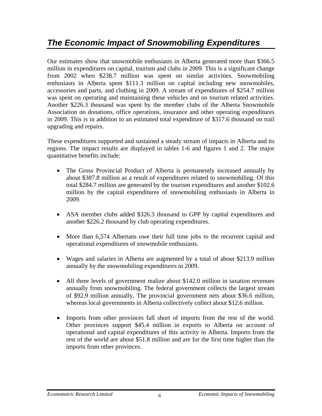# *The Economic Impact of Snowmobiling Expenditures*

Our estimates show that snowmobile enthusiasts in Alberta generated more than \$366.5 million in expenditures on capital, tourism and clubs in 2009. This is a significant change from 2002 when \$238.7 million was spent on similar activities. Snowmobiling enthusiasts in Alberta spent \$111.3 million on capital including new snowmobiles, accessories and parts, and clothing in 2009. A stream of expenditures of \$254.7 million was spent on operating and maintaining these vehicles and on tourism related activities. Another \$226.3 thousand was spent by the member clubs of the Alberta Snowmobile Association on donations, office operations, insurance and other operating expenditures in 2009. This is in addition to an estimated total expenditure of \$317.6 thousand on trail upgrading and repairs.

These expenditures supported and sustained a steady stream of impacts in Alberta and its regions. The impact results are displayed in tables 1-6 and figures 1 and 2. The major quantitative benefits include:

- The Gross Provincial Product of Alberta is permanently increased annually by about \$387.8 million as a result of expenditures related to snowmobiling. Of this total \$284.7 million are generated by the tourism expenditures and another \$102.6 million by the capital expenditures of snowmobiling enthusiasts in Alberta in 2009.
- ASA member clubs added \$326.3 thousand to GPP by capital expenditures and another \$226.2 thousand by club operating expenditures.
- More than 6,574 Albertans owe their full time jobs to the recurrent capital and operational expenditures of snowmobile enthusiasts.
- Wages and salaries in Alberta are augmented by a total of about \$213.9 million annually by the snowmobiling expenditures in 2009.
- All three levels of government realize about \$142.0 million in taxation revenues annually from snowmobiling. The federal government collects the largest stream of \$92.9 million annually. The provincial government nets about \$36.6 million, whereas local governments in Alberta collectively collect about \$12.6 million.
- Imports from other provinces fall short of imports from the rest of the world. Other provinces support \$45.4 million in exports to Alberta on account of operational and capital expenditures of this activity in Alberta. Imports from the rest of the world are about \$51.8 million and are for the first time higher than the imports from other provinces.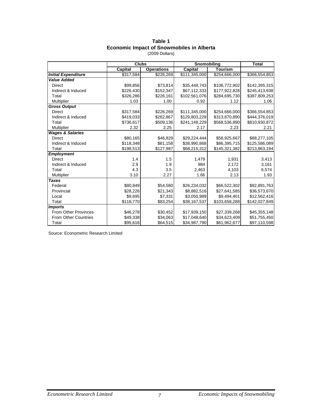### **Table 1 Economic Impact of Snowmobiles in Alberta**

|                             |           | <b>Clubs</b>      |                | Snomobiling    |               |
|-----------------------------|-----------|-------------------|----------------|----------------|---------------|
|                             | Capital   | <b>Operations</b> | <b>Capital</b> | <b>Tourism</b> |               |
| <b>Initial Expenditure</b>  | \$317,584 | \$226,269         | \$111,345,000  | \$254,666,000  | \$366,554,853 |
| <b>Value Added</b>          |           |                   |                |                |               |
| <b>Direct</b>               | \$99,856  | \$73.814          | \$35,448,743   | \$106,772,902  | \$142,395,315 |
| Indirect & Induced          | \$226.430 | \$152,347         | \$67,112,333   | \$177,922,828  | \$245,413,938 |
| Total                       | \$326,286 | \$226,161         | \$102,561,076  | \$284,695,730  | \$387,809,253 |
| <b>Multiplier</b>           | 1.03      | 1.00              | 0.92           | 1.12           | 1.06          |
| <b>Gross Output</b>         |           |                   |                |                |               |
| <b>Direct</b>               | \$317,584 | \$226,269         | \$111,345,000  | \$254,666,000  | \$366,554,853 |
| Indirect & Induced          | \$419,033 | \$282,867         | \$129,803,229  | \$313,870,890  | \$444,376,019 |
| Total                       | \$736,617 | \$509,136         | \$241,148,229  | \$568,536,890  | \$810,930,872 |
| Multiplier                  | 2.32      | 2.25              | 2.17           | 2.23           | 2.21          |
| <b>Wages &amp; Salaries</b> |           |                   |                |                |               |
| <b>Direct</b>               | \$80,165  | \$46,829          | \$29,224,444   | \$58,925,667   | \$88,277,105  |
| Indirect & Induced          | \$118,348 | \$81,158          | \$38,990,868   | \$86,395,715   | \$125,586,089 |
| Total                       | \$198,513 | \$127,987         | \$68,215,312   | \$145,321,382  | \$213,863,194 |
| <b>Employment</b>           |           |                   |                |                |               |
| <b>Direct</b>               | 1.4       | 1.5               | 1,479          | 1,931          | 3,413         |
| Indirect & Induced          | 2.9       | 1.9               | 984            | 2,172          | 3,161         |
| Total                       | 4.3       | 3.5               | 2,463          | 4,103          | 6,574         |
| Multiplier                  | 3.10      | 2.27              | 1.66           | 2.13           | 1.93          |
| <b>Taxes</b>                |           |                   |                |                |               |
| Federal                     | \$80,849  | \$54,580          | \$26,234,032   | \$66,522,302   | \$92,891,763  |
| Provincial                  | \$28,226  | \$21,343          | \$8,882,516    | \$27,641,585   | \$36,573,670  |
| Local                       | \$9,695   | \$7,331           | \$3,050,989    | \$9,494,401    | \$12,562,416  |
| Total                       | \$118,770 | \$83,254          | \$38,167,537   | \$103,658,288  | \$142,027,849 |
| <b>Imports</b>              |           |                   |                |                |               |
| <b>From Other Provinces</b> | \$46,278  | \$30,452          | \$17,939,150   | \$27,339,268   | \$45,355,148  |
| <b>From Other Countries</b> | \$49,338  | \$34,063          | \$17,048,640   | \$34,623,409   | \$51,755,450  |
| Total                       | \$95,616  | \$64,515          | \$34,987,790   | \$61,962,677   | \$97,110,598  |

(2009 Dollars)

Source: Econometric Research Limited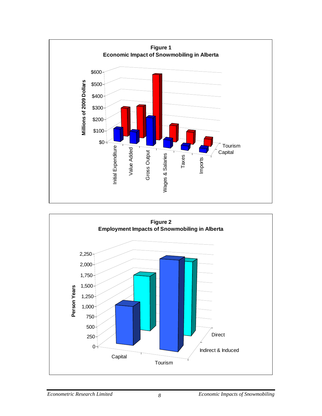

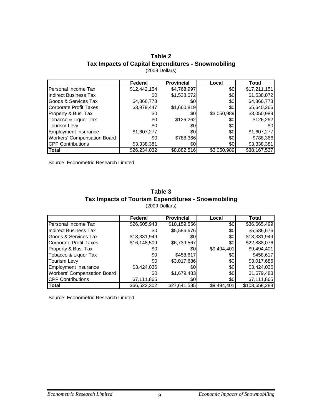### **Table 2 Tax Impacts of Capital Expenditures - Snowmobiling** (2009 Dollars)

|                                    | Federal      | <b>Provincial</b> | Local       | Total        |
|------------------------------------|--------------|-------------------|-------------|--------------|
| Personal Income Tax                | \$12,442,154 | \$4,768,997       | \$0         | \$17,211,151 |
| <b>Indirect Business Tax</b>       | \$0          | \$1,538,072       | \$0         | \$1,538,072  |
| Goods & Services Tax               | \$4,866,773  | \$0               | 30          | \$4,866,773  |
| <b>Corporate Profit Taxes</b>      | \$3,979,447  | \$1,660,819       | \$0         | \$5,640,266  |
| Property & Bus. Tax                | \$0          | \$0               | \$3,050,989 | \$3,050,989  |
| Tobacco & Liquor Tax               | \$0          | \$126,262         | \$0         | \$126,262    |
| <b>Tourism Levy</b>                | \$0          | \$0               | \$0         | \$0          |
| <b>Employment Insurance</b>        | \$1,607,277  | \$0               | \$0         | \$1,607,277  |
| <b>Workers' Compensation Board</b> | \$0          | \$788,366         | \$0         | \$788,366    |
| <b>CPP Contributions</b>           | \$3,338,381  | \$0               | \$0         | \$3,338,381  |
| <b>ITotal</b>                      | \$26,234,032 | \$8,882,516       | \$3,050,989 | \$38,167,537 |

Source: Econometric Research Limited

#### **Table 3 Tax Impacts of Tourism Expenditures - Snowmobiling** (2009 Dollars)

|                               | Federal      | <b>Provincial</b> | Local       | Total         |
|-------------------------------|--------------|-------------------|-------------|---------------|
| Personal Income Tax           | \$26,505,943 | \$10,159,556      | \$0         | \$36,665,499  |
| <b>Indirect Business Tax</b>  | \$0          | \$5,586,676       | 30          | \$5,586,676   |
| Goods & Services Tax          | \$13,331,949 | \$0               | \$0         | \$13,331,949  |
| <b>Corporate Profit Taxes</b> | \$16,148,509 | \$6,739,567       | \$0         | \$22,888,076  |
| Property & Bus. Tax           | \$0          | \$0               | \$9,494,401 | \$9,494,401   |
| Tobacco & Liquor Tax          | \$0          | \$458,617         | \$0         | \$458,617     |
| <b>Tourism Levy</b>           | \$0          | \$3,017,686       | \$0         | \$3,017,686   |
| <b>Employment Insurance</b>   | \$3,424,036  | \$0               | \$0         | \$3,424,036   |
| Workers' Compensation Board   | \$0          | \$1,679,483       | \$0         | \$1,679,483   |
| <b>CPP Contributions</b>      | \$7,111,865  | \$0               | \$0         | \$7,111,865   |
| Total                         | \$66,522,302 | \$27,641,585      | \$9,494,401 | \$103,658,288 |

Source: Econometric Research Limited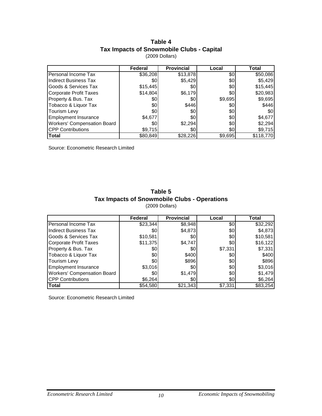### **Table 4 Tax Impacts of Snowmobile Clubs - Capital** (2009 Dollars)

|                                    | Federal  | <b>Provincial</b> | Local   | Total     |
|------------------------------------|----------|-------------------|---------|-----------|
| Personal Income Tax                | \$36,208 | \$13,878          | \$0     | \$50,086  |
| <b>Indirect Business Tax</b>       | \$0      | \$5,429           | \$0     | \$5,429   |
| Goods & Services Tax               | \$15,445 | \$0               | \$0     | \$15,445  |
| <b>Corporate Profit Taxes</b>      | \$14,804 | \$6,179           | 30      | \$20,983  |
| Property & Bus. Tax                | \$0      | \$0               | \$9,695 | \$9,695   |
| Tobacco & Liquor Tax               | \$0      | \$446             | \$0     | \$446     |
| Tourism Levy                       | \$0      | \$0               | \$0     | \$0       |
| <b>Employment Insurance</b>        | \$4,677  | \$0               | \$0     | \$4,677   |
| <b>Workers' Compensation Board</b> | \$0      | \$2,294           | \$0     | \$2,294   |
| <b>CPP Contributions</b>           | \$9,715  | \$0               | \$0     | \$9,715   |
| <b>Total</b>                       | \$80,849 | \$28,226          | \$9,695 | \$118,770 |

Source: Econometric Research Limited

### **Table 5 Tax Impacts of Snowmobile Clubs - Operations** (2009 Dollars)

|                               | Federal  | <b>Provincial</b> | Local   | Total    |
|-------------------------------|----------|-------------------|---------|----------|
| Personal Income Tax           | \$23,344 | \$8,948           | \$0     | \$32,292 |
| <b>Indirect Business Tax</b>  | \$0      | \$4,873           | \$0     | \$4,873  |
| Goods & Services Tax          | \$10,581 | \$0               | \$0     | \$10,581 |
| <b>Corporate Profit Taxes</b> | \$11,375 | \$4,747           | \$0     | \$16,122 |
| Property & Bus. Tax           | \$0      | \$01              | \$7,331 | \$7,331  |
| Tobacco & Liquor Tax          | \$0      | \$400             | \$0     | \$400    |
| Tourism Levy                  | \$0      | \$896             | 30      | \$896    |
| <b>Employment Insurance</b>   | \$3,016  | \$0               | 30      | \$3,016  |
| Workers' Compensation Board   | \$0      | \$1,479           | 30      | \$1,479  |
| <b>CPP Contributions</b>      | \$6,264  | \$0               | 30      | \$6,264  |
| Total                         | \$54,580 | \$21,343          | \$7,331 | \$83,254 |

Source: Econometric Research Limited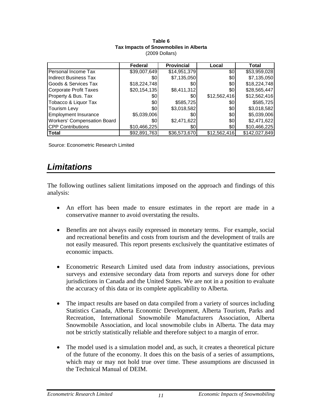|                                    | Federal      | <b>Provincial</b> | Local        | Total         |
|------------------------------------|--------------|-------------------|--------------|---------------|
| Personal Income Tax                | \$39,007,649 | \$14,951,379      | \$0          | \$53,959,028  |
| <b>Indirect Business Tax</b>       | \$0          | \$7,135,050       | \$0          | \$7,135,050   |
| Goods & Services Tax               | \$18,224,748 | \$0               | \$0          | \$18,224,748  |
| Corporate Profit Taxes             | \$20,154,135 | \$8,411,312       | 30           | \$28,565,447  |
| Property & Bus. Tax                | \$0          | \$0               | \$12,562,416 | \$12,562,416  |
| Tobacco & Liquor Tax               | \$0          | \$585,725         | \$0          | \$585,725     |
| <b>Tourism Levy</b>                | \$0          | \$3,018,582       | 30           | \$3,018,582   |
| <b>Employment Insurance</b>        | \$5,039,006  | \$0               | \$0          | \$5,039,006   |
| <b>Workers' Compensation Board</b> | \$0          | \$2,471,622       | \$0          | \$2,471,622   |
| <b>CPP Contributions</b>           | \$10,466,225 | \$0               | 30           | \$10,466,225  |
| Total                              | \$92,891,763 | \$36,573,670      | \$12,562,416 | \$142,027,849 |

#### **Table 6 Tax Impacts of Snowmobiles in Alberta** (2009 Dollars)

Source: Econometric Research Limited

### *Limitations*

The following outlines salient limitations imposed on the approach and findings of this analysis:

- An effort has been made to ensure estimates in the report are made in a conservative manner to avoid overstating the results.
- Benefits are not always easily expressed in monetary terms. For example, social and recreational benefits and costs from tourism and the development of trails are not easily measured. This report presents exclusively the quantitative estimates of economic impacts.
- Econometric Research Limited used data from industry associations, previous surveys and extensive secondary data from reports and surveys done for other jurisdictions in Canada and the United States. We are not in a position to evaluate the accuracy of this data or its complete applicability to Alberta.
- The impact results are based on data compiled from a variety of sources including Statistics Canada, Alberta Economic Development, Alberta Tourism, Parks and Recreation, International Snowmobile Manufacturers Association, Alberta Snowmobile Association, and local snowmobile clubs in Alberta. The data may not be strictly statistically reliable and therefore subject to a margin of error.
- The model used is a simulation model and, as such, it creates a theoretical picture of the future of the economy. It does this on the basis of a series of assumptions, which may or may not hold true over time. These assumptions are discussed in the Technical Manual of DEIM.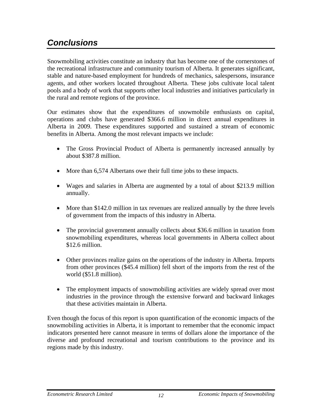# *Conclusions*

Snowmobiling activities constitute an industry that has become one of the cornerstones of the recreational infrastructure and community tourism of Alberta. It generates significant, stable and nature-based employment for hundreds of mechanics, salespersons, insurance agents, and other workers located throughout Alberta. These jobs cultivate local talent pools and a body of work that supports other local industries and initiatives particularly in the rural and remote regions of the province.

Our estimates show that the expenditures of snowmobile enthusiasts on capital, operations and clubs have generated \$366.6 million in direct annual expenditures in Alberta in 2009. These expenditures supported and sustained a stream of economic benefits in Alberta. Among the most relevant impacts we include:

- The Gross Provincial Product of Alberta is permanently increased annually by about \$387.8 million.
- More than 6,574 Albertans owe their full time jobs to these impacts.
- Wages and salaries in Alberta are augmented by a total of about \$213.9 million annually.
- More than \$142.0 million in tax revenues are realized annually by the three levels of government from the impacts of this industry in Alberta.
- The provincial government annually collects about \$36.6 million in taxation from snowmobiling expenditures, whereas local governments in Alberta collect about \$12.6 million.
- Other provinces realize gains on the operations of the industry in Alberta. Imports from other provinces (\$45.4 million) fell short of the imports from the rest of the world (\$51.8 million).
- The employment impacts of snowmobiling activities are widely spread over most industries in the province through the extensive forward and backward linkages that these activities maintain in Alberta.

Even though the focus of this report is upon quantification of the economic impacts of the snowmobiling activities in Alberta, it is important to remember that the economic impact indicators presented here cannot measure in terms of dollars alone the importance of the diverse and profound recreational and tourism contributions to the province and its regions made by this industry.